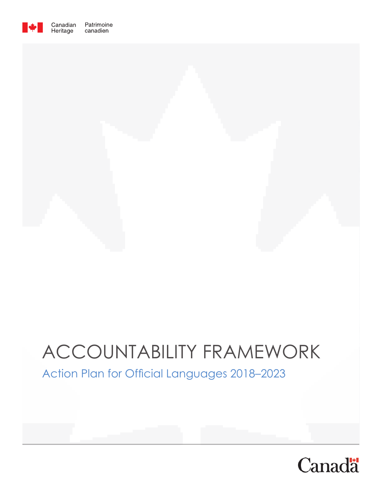

# ACCOUNTABILITY FRAMEWORK

### Action Plan for Official Languages 2018–2023

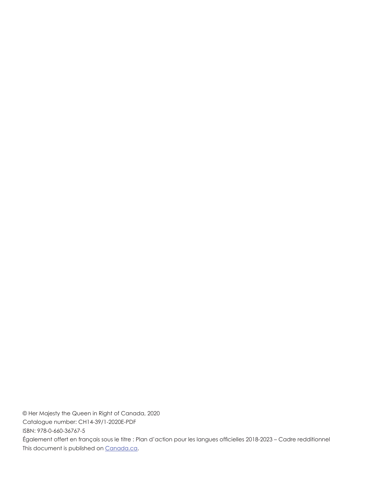© Her Majesty the Queen in Right of Canada, 2020 Catalogue number: CH14-39/1-2020E-PDF ISBN: 978-0-660-36767-5 Également offert en français sous le titre : Plan d'action pour les langues officielles 2018-2023 – Cadre redditionnel This document is published on Canada.ca.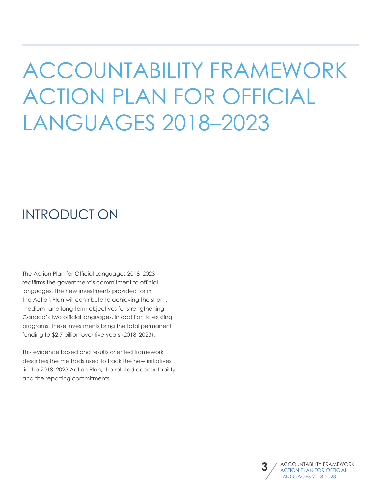# ACCOUNTABILITY FRAMEWORK ACTION PLAN FOR OFFICIAL LANGUAGES 2018–2023

## INTRODUCTION

The Action Plan for Official Languages 2018–2023 reaffirms the government's commitment to official languages. The new investments provided for in the Action Plan will contribute to achieving the short-, medium- and long-term objectives for strengthening Canada's two official languages. In addition to existing programs, these investments bring the total permanent funding to \$2.7 billion over five years (2018–2023).

This evidence based and results oriented framework describes the methods used to track the new initiatives in the 2018–2023 Action Plan, the related accountability, and the reporting commitments.

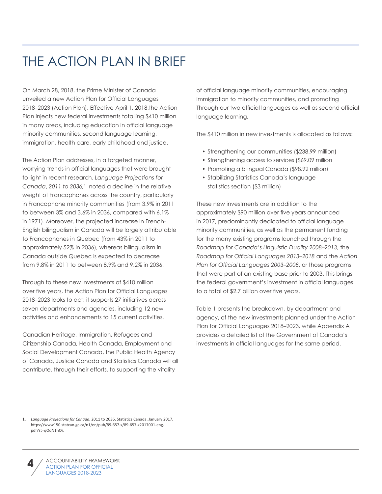## THE ACTION PLAN IN BRIEF

On March 28, 2018, the Prime Minister of Canada unveiled a new Action Plan for Official Languages 2018–2023 (Action Plan). Effective April 1, 2018,the Action Plan injects new federal investments totalling \$410 million in many areas, including education in official language minority communities, second language learning, immigration, health care, early childhood and justice.

The Action Plan addresses, in a targeted manner, worrying trends in official languages that were brought to light in recent research. *Language Projections for Canada*, *2011 to 2036,*¹ noted a decline in the relative weight of Francophones across the country, particularly in Francophone minority communities (from 3.9% in 2011 to between 3% and 3.6% in 2036, compared with 6.1% in 1971). Moreover, the projected increase in French-English bilingualism in Canada will be largely attributable to Francophones in Quebec (from 43% in 2011 to approximately 52% in 2036), whereas bilingualism in Canada outside Quebec is expected to decrease from 9.8% in 2011 to between 8.9% and 9.2% in 2036.

Through to these new investments of \$410 million over five years, the Action Plan for Official Languages 2018–2023 looks to act: it supports 27 initiatives across seven departments and agencies, including 12 new activities and enhancements to 15 current activities.

Canadian Heritage, Immigration, Refugees and Citizenship Canada, Health Canada, Employment and Social Development Canada, the Public Health Agency of Canada, Justice Canada and Statistics Canada will all contribute, through their efforts, to supporting the vitality

of official language minority communities, encouraging immigration to minority communities, and promoting Through our two official languages as well as second official language learning.

The \$410 million in new investments is allocated as follows:

- Strengthening our communities (\$238.99 million)
- Strengthening access to services (\$69.09 million
- Promoting a bilingual Canada (\$98.92 million)
- Stabilizing Statistics Canada's language statistics section (\$3 million)

These new investments are in addition to the approximately \$90 million over five years announced in 2017, predominantly dedicated to official language minority communities, as well as the permanent funding for the many existing programs launched through the *Roadmap for Canada's Linguistic Duality 2008–2013*, the *Roadmap for Official Languages 2013–2018* and the *Action Plan for Official Languages 2003–2008*, or those programs that were part of an existing base prior to 2003. This brings the federal government's investment in official languages to a total of \$2.7 billion over five years.

Table 1 presents the breakdown, by department and agency, of the new investments planned under the Action Plan for Official Languages 2018–2023, while Appendix A provides a detailed list of the Government of Canada's investments in official languages for the same period.

**<sup>1.</sup>** *Language Projections for Canada*, 2011 to 2036, Statistics Canada, January 2017, https://www150.statcan.gc.ca/n1/en/pub/89-657-x/89-657-x2017001-eng. pdf?st=qOqN1hOi.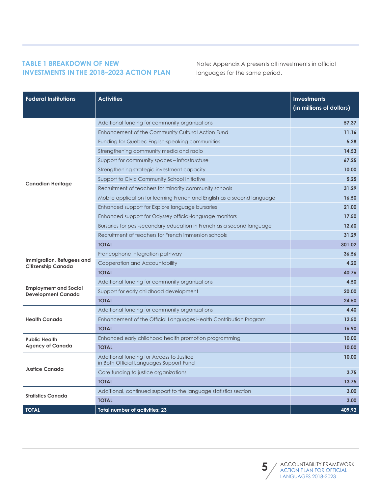#### **TABLE 1 BREAKDOWN OF NEW INVESTMENTS IN THE 2018–2023 ACTION PLAN**

Note: Appendix A presents all investments in official languages for the same period.

| <b>Federal Institutions</b>                               | <b>Activities</b>                                                                   | <b>Investments</b><br>(in millions of dollars) |
|-----------------------------------------------------------|-------------------------------------------------------------------------------------|------------------------------------------------|
|                                                           | Additional funding for community organizations                                      | 57.37                                          |
|                                                           | Enhancement of the Community Cultural Action Fund                                   | 11.16                                          |
|                                                           | Funding for Quebec English-speaking communities                                     | 5.28                                           |
|                                                           | Strengthening community media and radio                                             | 14.53                                          |
|                                                           | Support for community spaces - infrastructure                                       | 67.25                                          |
|                                                           | Strengthening strategic investment capacity                                         | 10.00                                          |
|                                                           | Support to Civic Community School Initiative                                        | 5.25                                           |
| <b>Canadian Heritage</b>                                  | Recruitment of teachers for minority community schools                              | 31.29                                          |
|                                                           | Mobile application for learning French and English as a second language             | 16.50                                          |
|                                                           | Enhanced support for Explore language bursaries                                     | 21.00                                          |
|                                                           | Enhanced support for Odyssey official-language monitors                             | 17.50                                          |
|                                                           | Bursaries for post-secondary education in French as a second language               | 12.60                                          |
|                                                           | Recruitment of teachers for French immersion schools                                | 31.29                                          |
|                                                           | <b>TOTAL</b>                                                                        | 301.02                                         |
|                                                           | Francophone integration pathway                                                     | 36.56                                          |
| Immigration, Refugees and<br><b>Citizenship Canada</b>    | Cooperation and Accountability                                                      | 4.20                                           |
|                                                           | <b>TOTAL</b>                                                                        | 40.76                                          |
|                                                           | Additional funding for community organizations                                      | 4.50                                           |
| <b>Employment and Social</b><br><b>Development Canada</b> | Support for early childhood development                                             | 20.00                                          |
|                                                           | <b>TOTAL</b>                                                                        | 24.50                                          |
|                                                           | Additional funding for community organizations                                      | 4.40                                           |
| <b>Health Canada</b>                                      | Enhancement of the Official Languages Health Contribution Program                   | 12.50                                          |
|                                                           | <b>TOTAL</b>                                                                        | 16.90                                          |
| <b>Public Health</b>                                      | Enhanced early childhood health promotion programming                               | 10.00                                          |
| <b>Agency of Canada</b>                                   | <b>TOTAL</b>                                                                        | 10.00                                          |
|                                                           | Additional funding for Access to Justice<br>in Both Official Languages Support Fund | 10.00                                          |
| <b>Justice Canada</b>                                     | Core funding to justice organizations                                               | 3.75                                           |
|                                                           | <b>TOTAL</b>                                                                        | 13.75                                          |
|                                                           | Additional, continued support to the language statistics section                    | 3.00                                           |
| <b>Statistics Canada</b>                                  | <b>TOTAL</b>                                                                        | 3.00                                           |
| <b>TOTAL</b>                                              | <b>Total number of activities: 23</b>                                               | 409.93                                         |

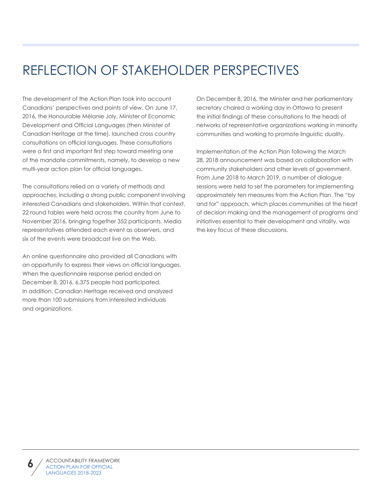## REFLECTION OF STAKEHOLDER PERSPECTIVES

The development of the Action Plan took into account Canadians' perspectives and points of view. On June 17, 2016, the Honourable Mélanie Joly, Minister of Economic Development and Official Languages (then Minister of Canadian Heritage at the time), launched cross country consultations on official languages. These consultations were a first and important first step toward meeting one of the mandate commitments, namely, to develop a new multi-year action plan for official languages.

The consultations relied on a variety of methods and approaches, including a strong public component involving interested Canadians and stakeholders. Within that context, 22 round tables were held across the country from June to November 2016, bringing together 352 participants. Media representatives attended each event as observers, and six of the events were broadcast live on the Web.

An online questionnaire also provided all Canadians with an opportunity to express their views on official languages. When the questionnaire response period ended on December 8, 2016, 6,375 people had participated. In addition, Canadian Heritage received and analyzed more than 100 submissions from interested individuals and organizations.

On December 8, 2016, the Minister and her parliamentary secretary chaired a working day in Ottawa to present the initial findings of these consultations to the heads of networks of representative organizations working in minority communities and working to promote linguistic duality.

Implementation of the Action Plan following the March 28, 2018 announcement was based on collaboration with community stakeholders and other levels of government. From June 2018 to March 2019, a number of dialogue sessions were held to set the parameters for implementing approximately ten measures from the Action Plan. The "by and for" approach, which places communities at the heart of decision making and the management of programs and initiatives essential to their development and vitality, was the key focus of these discussions.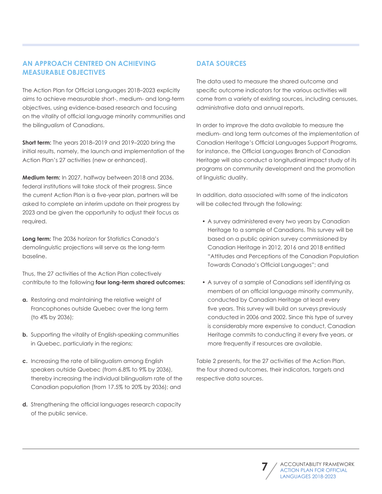#### **AN APPROACH CENTRED ON ACHIEVING MEASURABLE OBJECTIVES**

The Action Plan for Official Languages 2018–2023 explicitly aims to achieve measurable short-, medium- and long-term objectives, using evidence-based research and focusing on the vitality of official language minority communities and the bilingualism of Canadians.

**Short term:** The years 2018–2019 and 2019–2020 bring the initial results, namely, the launch and implementation of the Action Plan's 27 activities (new or enhanced).

**Medium term:** In 2027, halfway between 2018 and 2036, federal institutions will take stock of their progress. Since the current Action Plan is a five-year plan, partners will be asked to complete an interim update on their progress by 2023 and be given the opportunity to adjust their focus as required.

**Long term:** The 2036 horizon for Statistics Canada's demolinguistic projections will serve as the long-term baseline.

Thus, the 27 activities of the Action Plan collectively contribute to the following **four long-term shared outcomes:**

- **a.** Restoring and maintaining the relative weight of Francophones outside Quebec over the long term (to 4% by 2036);
- **b.** Supporting the vitality of English-speaking communities in Quebec, particularly in the regions;
- **c.** Increasing the rate of bilingualism among English speakers outside Quebec (from 6.8% to 9% by 2036), thereby increasing the individual bilingualism rate of the Canadian population (from 17.5% to 20% by 2036); and
- **d.** Strengthening the official languages research capacity of the public service.

#### **DATA SOURCES**

The data used to measure the shared outcome and specific outcome indicators for the various activities will come from a variety of existing sources, including censuses, administrative data and annual reports.

In order to improve the data available to measure the medium- and long term outcomes of the implementation of Canadian Heritage's Official Languages Support Programs, for instance, the Official Languages Branch of Canadian Heritage will also conduct a longitudinal impact study of its programs on community development and the promotion of linguistic duality.

In addition, data associated with some of the indicators will be collected through the following:

- A survey administered every two years by Canadian Heritage to a sample of Canadians. This survey will be based on a public opinion survey commissioned by Canadian Heritage in 2012, 2016 and 2018 entitled "Attitudes and Perceptions of the Canadian Population Towards Canada's Official Languages"; and
- A survey of a sample of Canadians self identifying as members of an official language minority community, conducted by Canadian Heritage at least every five years. This survey will build on surveys previously conducted in 2006 and 2002. Since this type of survey is considerably more expensive to conduct, Canadian Heritage commits to conducting it every five years, or more frequently if resources are available.

Table 2 presents, for the 27 activities of the Action Plan, the four shared outcomes, their indicators, targets and respective data sources.

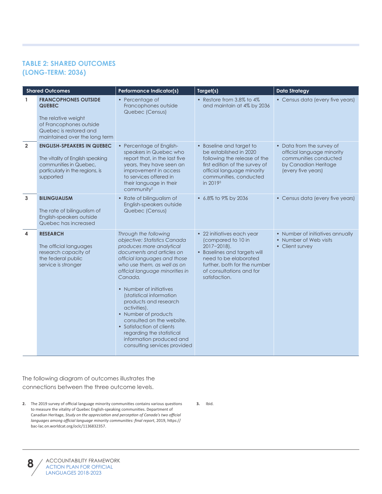#### **TABLE 2: SHARED OUTCOMES (LONG-TERM: 2036)**

|                | <b>Shared Outcomes</b>                                                                                                                                    | <b>Performance Indicator(s)</b>                                                                                                                                                                                                                                                                                                                                                                                                                                                                        | Target(s)                                                                                                                                                                                                 | <b>Data Strategy</b>                                                                                                           |
|----------------|-----------------------------------------------------------------------------------------------------------------------------------------------------------|--------------------------------------------------------------------------------------------------------------------------------------------------------------------------------------------------------------------------------------------------------------------------------------------------------------------------------------------------------------------------------------------------------------------------------------------------------------------------------------------------------|-----------------------------------------------------------------------------------------------------------------------------------------------------------------------------------------------------------|--------------------------------------------------------------------------------------------------------------------------------|
| $\mathbf{1}$   | <b>FRANCOPHONES OUTSIDE</b><br><b>QUEBEC</b><br>The relative weight<br>of Francophones outside<br>Quebec is restored and<br>maintained over the long term | • Percentage of<br>Francophones outside<br>Quebec (Census)                                                                                                                                                                                                                                                                                                                                                                                                                                             | • Restore from 3.8% to 4%<br>and maintain at 4% by 2036                                                                                                                                                   | • Census data (every five years)                                                                                               |
| $\overline{2}$ | <b>ENGLISH-SPEAKERS IN QUEBEC</b><br>The vitality of English speaking<br>communities in Quebec.<br>particularly in the regions, is<br>supported           | • Percentage of English-<br>speakers in Quebec who<br>report that, in the last five<br>years, they have seen an<br>improvement in access<br>to services offered in<br>their language in their<br>community <sup>2</sup>                                                                                                                                                                                                                                                                                | • Baseline and target to<br>be established in 2020<br>following the release of the<br>first edition of the survey of<br>official language minority<br>communities, conducted<br>in 2019 <sup>3</sup>      | • Data from the survey of<br>official language minority<br>communities conducted<br>by Canadian Heritage<br>(every five years) |
| 3              | <b>BILINGUALISM</b><br>The rate of bilingualism of<br>English-speakers outside<br>Quebec has increased                                                    | • Rate of bilingualism of<br>English-speakers outside<br>Quebec (Census)                                                                                                                                                                                                                                                                                                                                                                                                                               | • 6.8% to 9% by 2036                                                                                                                                                                                      | • Census data (every five years)                                                                                               |
| 4              | <b>RESEARCH</b><br>The official languages<br>research capacity of<br>the federal public<br>service is stronger                                            | Through the following<br>objective: Statistics Canada<br>produces more analytical<br>documents and articles on<br>official languages and those<br>who use them, as well as on<br>official language minorities in<br>Canada.<br>• Number of initiatives<br>(statistical information<br>products and research<br>activities).<br>• Number of products<br>consulted on the website.<br>• Satisfaction of clients<br>regarding the statistical<br>information produced and<br>consulting services provided | • 22 initiatives each year<br>(compared to 10 in<br>$2017 - 2018$ .<br>• Baselines and targets will<br>need to be elaborated<br>further, both for the number<br>of consultations and for<br>satisfaction. | • Number of initiatives annually<br>• Number of Web visits<br>• Client survey                                                  |

The following diagram of outcomes illustrates the connections between the three outcome levels.

**2.** The 2019 survey of official language minority communities contains various questions to measure the vitality of Quebec English-speaking communities. Department of Canadian Heritage, *Study on the appreciation and perception of Canada's two official languages among official language minority communities: final report*, 2019, https:// bac-lac.on.worldcat.org/oclc/1136832357.

**3.** Ibid.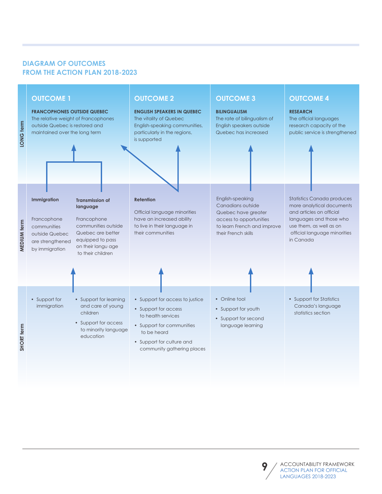#### **DIAGRAM OF OUTCOMES FROM THE ACTION PLAN 2018-2023**



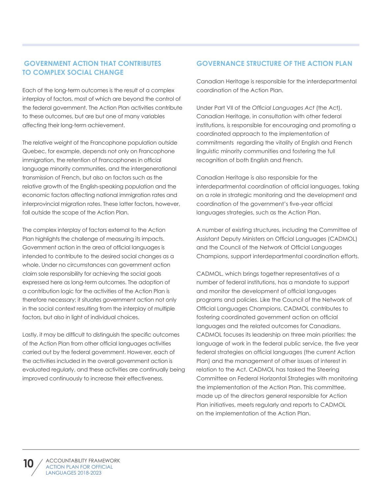#### **GOVERNMENT ACTION THAT CONTRIBUTES TO COMPLEX SOCIAL CHANGE**

Each of the long-term outcomes is the result of a complex interplay of factors, most of which are beyond the control of the federal government. The Action Plan activities contribute to these outcomes, but are but one of many variables affecting their long-term achievement.

The relative weight of the Francophone population outside Quebec, for example, depends not only on Francophone immigration, the retention of Francophones in official language minority communities, and the intergenerational transmission of French, but also on factors such as the relative growth of the English-speaking population and the economic factors affecting national immigration rates and interprovincial migration rates. These latter factors, however, fall outside the scope of the Action Plan.

The complex interplay of factors external to the Action Plan highlights the challenge of measuring its impacts. Government action in the area of official languages is intended to contribute to the desired social changes as a whole. Under no circumstances can government action claim sole responsibility for achieving the social goals expressed here as long-term outcomes. The adoption of a contribution logic for the activities of the Action Plan is therefore necessary: it situates government action not only in the social context resulting from the interplay of multiple factors, but also in light of individual choices.

Lastly, it may be difficult to distinguish the specific outcomes of the Action Plan from other official languages activities carried out by the federal government. However, each of the activities included in the overall government action is evaluated regularly, and these activities are continually being improved continuously to increase their effectiveness.

#### **GOVERNANCE STRUCTURE OF THE ACTION PLAN**

Canadian Heritage is responsible for the interdepartmental coordination of the Action Plan.

Under Part VII of the *Official Languages Act* (the Act), Canadian Heritage, in consultation with other federal institutions, is responsible for encouraging and promoting a coordinated approach to the implementation of commitments regarding the vitality of English and French linguistic minority communities and fostering the full recognition of both English and French.

Canadian Heritage is also responsible for the interdepartmental coordination of official languages, taking on a role in strategic monitoring and the development and coordination of the government's five-year official languages strategies, such as the Action Plan.

A number of existing structures, including the Committee of Assistant Deputy Ministers on Official Languages (CADMOL) and the Council of the Network of Official Languages Champions, support interdepartmental coordination efforts.

CADMOL, which brings together representatives of a number of federal institutions, has a mandate to support and monitor the development of official languages programs and policies. Like the Council of the Network of Official Languages Champions, CADMOL contributes to fostering coordinated government action on official languages and the related outcomes for Canadians. CADMOL focuses its leadership on three main priorities: the language of work in the federal public service, the five year federal strategies on official languages (the current Action Plan) and the management of other issues of interest in relation to the Act. CADMOL has tasked the Steering Committee on Federal Horizontal Strategies with monitoring the implementation of the Action Plan. This committee, made up of the directors general responsible for Action Plan initiatives, meets regularly and reports to CADMOL on the implementation of the Action Plan.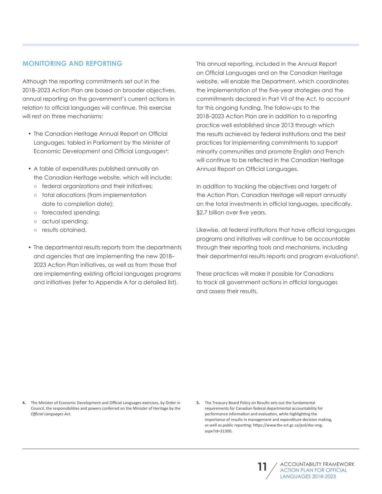#### **MONITORING AND REPORTING**

Although the reporting commitments set out in the 2018–2023 Action Plan are based on broader objectives, annual reporting on the government's current actions in relation to official languages will continue. This exercise will rest on three mechanisms:

- The Canadian Heritage Annual Report on Official Languages, tabled in Parliament by the Minister of Economic Development and Official Languages<sup>4</sup>;
- A table of expenditures published annually on the Canadian Heritage website, which will include:
	- federal organizations and their initiatives;
	- total allocations (from implementation date to completion date);
	- forecasted spending;
	- actual spending;
	- results obtained.
- The departmental results reports from the departments and agencies that are implementing the new 2018– 2023 Action Plan initiatives, as well as from those that are implementing existing official languages programs and initiatives (refer to Appendix A for a detailed list).

This annual reporting, included in the Annual Report on Official Languages and on the Canadian Heritage website, will enable the Department, which coordinates the implementation of the five-year strategies and the commitments declared in Part VII of the Act, to account for this ongoing funding. The follow-ups to the 2018–2023 Action Plan are in addition to a reporting practice well established since 2013 through which the results achieved by federal institutions and the best practices for implementing commitments to support minority communities and promote English and French will continue to be reflected in the Canadian Heritage Annual Report on Official Languages.

In addition to tracking the objectives and targets of the Action Plan, Canadian Heritage will report annually on the total investments in official languages, specifically, \$2.7 billion over five years.

Likewise, all federal institutions that have official languages programs and initiatives will continue to be accountable through their reporting tools and mechanisms, including their departmental results reports and program evaluations<sup>5</sup>.

These practices will make it possible for Canadians to track all government actions in official languages and assess their results.

**4.** The Minister of Economic Development and Official Languages exercises, by Order in Council, the responsibilities and powers conferred on the Minister of Heritage by the *Official Languages Act*.



**<sup>5.</sup>** The Treasury Board Policy on Results sets out the fundamental requirements for Canadian federal departmental accountability for performance information and evaluation, while highlighting the importance of results in management and expenditure decision making, as well as public reporting: https://www.tbs-sct.gc.ca/pol/doc-eng. aspx?id=31300.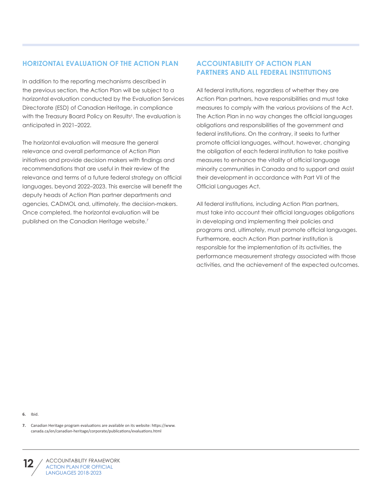#### **HORIZONTAL EVALUATION OF THE ACTION PLAN**

In addition to the reporting mechanisms described in the previous section, the Action Plan will be subject to a horizontal evaluation conducted by the Evaluation Services Directorate (ESD) of Canadian Heritage, in compliance with the Treasury Board Policy on Results<sup>6</sup>. The evaluation is anticipated in 2021–2022.

The horizontal evaluation will measure the general relevance and overall performance of Action Plan initiatives and provide decision makers with findings and recommendations that are useful in their review of the relevance and terms of a future federal strategy on official languages, beyond 2022–2023. This exercise will benefit the deputy heads of Action Plan partner departments and agencies, CADMOL and, ultimately, the decision-makers. Once completed, the horizontal evaluation will be published on the Canadian Heritage website.7

#### **ACCOUNTABILITY OF ACTION PLAN PARTNERS AND ALL FEDERAL INSTITUTIONS**

All federal institutions, regardless of whether they are Action Plan partners, have responsibilities and must take measures to comply with the various provisions of the Act. The Action Plan in no way changes the official languages obligations and responsibilities of the government and federal institutions. On the contrary, it seeks to further promote official languages, without, however, changing the obligation of each federal institution to take positive measures to enhance the vitality of official language minority communities in Canada and to support and assist their development in accordance with Part VII of the Official Languages Act.

All federal institutions, including Action Plan partners, must take into account their official languages obligations in developing and implementing their policies and programs and, ultimately, must promote official languages. Furthermore, each Action Plan partner institution is responsible for the implementation of its activities, the performance measurement strategy associated with those activities, and the achievement of the expected outcomes.

**6.** Ibid.

**<sup>7.</sup>** Canadian Heritage program evaluations are available on its website: https://www. canada.ca/en/canadian-heritage/corporate/publications/evaluations.html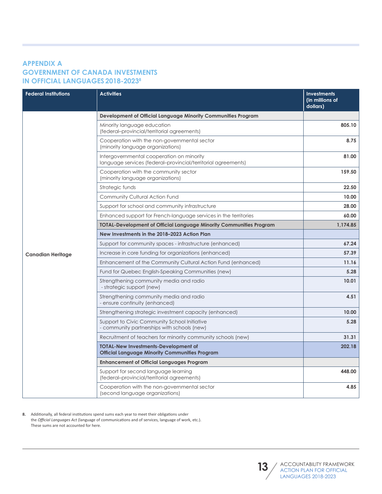#### **APPENDIX A GOVERNMENT OF CANADA INVESTMENTS IN OFFICIAL LANGUAGES 2018-20238**

| <b>Federal Institutions</b> | <b>Activities</b>                                                                                          | <b>Investments</b><br>(in millions of<br>dollars) |
|-----------------------------|------------------------------------------------------------------------------------------------------------|---------------------------------------------------|
|                             | Development of Official Language Minority Communities Program                                              |                                                   |
|                             | Minority language education<br>(federal-provincial/territorial agreements)                                 | 805.10                                            |
|                             | Cooperation with the non-governmental sector<br>(minority language organizations)                          | 8.75                                              |
|                             | Intergovernmental cooperation on minority<br>language services (federal-provincial/territorial agreements) | 81.00                                             |
|                             | Cooperation with the community sector<br>(minority language organizations)                                 | 159.50                                            |
|                             | Strategic funds                                                                                            | 22.50                                             |
|                             | Community Cultural Action Fund                                                                             | 10.00                                             |
|                             | Support for school and community infrastructure                                                            | 28.00                                             |
|                             | Enhanced support for French-language services in the territories                                           | 60.00                                             |
|                             | <b>TOTAL-Development of Official Language Minority Communities Program</b>                                 | 1,174.85                                          |
|                             | New Investments in the 2018–2023 Action Plan                                                               |                                                   |
|                             | Support for community spaces - infrastructure (enhanced)                                                   | 67.24                                             |
| <b>Canadian Heritage</b>    | Increase in core funding for organizations (enhanced)                                                      | 57.39                                             |
|                             | Enhancement of the Community Cultural Action Fund (enhanced)                                               | 11.16                                             |
|                             | Fund for Quebec English-Speaking Communities (new)                                                         | 5.28                                              |
|                             | Strengthening community media and radio<br>- strategic support (new)                                       | 10.01                                             |
|                             | Strengthening community media and radio<br>- ensure continuity (enhanced)                                  | 4.51                                              |
|                             | Strengthening strategic investment capacity (enhanced)                                                     | 10.00                                             |
|                             | Support to Civic Community School Initiative<br>- community partnerships with schools (new)                | 5.28                                              |
|                             | Recruitment of teachers for minority community schools (new)                                               | 31.31                                             |
|                             | <b>TOTAL-New Investments-Development of</b><br><b>Official Language Minority Communities Program</b>       | 202.18                                            |
|                             | <b>Enhancement of Official Languages Program</b>                                                           |                                                   |
|                             | Support for second language learning<br>(federal-provincial/territorial agreements)                        | 448.00                                            |
|                             | Cooperation with the non-governmental sector<br>(second language organizations)                            | 4.85                                              |

**8.** Additionally, all federal institutions spend sums each year to meet their obligations under the *Official Languages Act* (language of communications and of services, language of work, etc.). These sums are not accounted for here.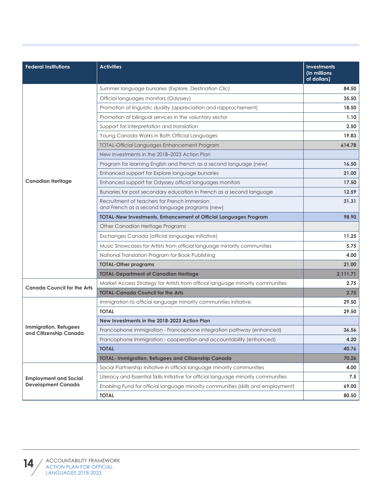| <b>Federal Institutions</b>                     | <b>Activities</b>                                                                              | <b>Investments</b><br>(in millions<br>of dollars) |
|-------------------------------------------------|------------------------------------------------------------------------------------------------|---------------------------------------------------|
|                                                 | Summer language bursaries (Explore, Destination Clic)                                          | 84.50                                             |
|                                                 | Official languages monitors (Odyssey)                                                          | 35.50                                             |
|                                                 | Promotion of linguistic duality (appreciation and rapprochement)                               | 18.50                                             |
|                                                 | Promotion of bilingual services in the voluntary sector                                        | 1.10                                              |
|                                                 | Support for interpretation and translation                                                     | 2.50                                              |
|                                                 | Young Canada Works in Both Official Languages                                                  | 19.83                                             |
|                                                 | <b>TOTAL-Official Languages Enhancement Program</b>                                            | 614.78                                            |
|                                                 | New Investments in the 2018–2023 Action Plan                                                   |                                                   |
|                                                 | Program for learning English and French as a second language (new)                             | 16.50                                             |
|                                                 | Enhanced support for Explore language bursaries                                                | 21.00                                             |
| <b>Canadian Heritage</b>                        | Enhanced support for Odyssey official languages monitors                                       | 17.50                                             |
|                                                 | Bursaries for post secondary education in French as a second language                          | 12.59                                             |
|                                                 | Recruitment of teachers for French immersion<br>and French as a second language programs (new) | 31.31                                             |
|                                                 | <b>TOTAL-New Investments, Enhancement of Official Languages Program</b>                        | 98.90                                             |
|                                                 | Other Canadian Heritage Programs                                                               |                                                   |
|                                                 | Exchanges Canada (official languages initiative)                                               | 11.25                                             |
|                                                 | Music Showcases for Artists from official language minority communities                        | 5.75                                              |
|                                                 | National Translation Program for Book Publishing                                               | 4.00                                              |
|                                                 | <b>TOTAL-Other programs</b>                                                                    | 21.00                                             |
|                                                 | <b>TOTAL-Department of Canadian Heritage</b>                                                   | 2,111.71                                          |
|                                                 | Market Access Strategy for Artists from official language minority communities                 | 2.75                                              |
| <b>Canada Council for the Arts</b>              | <b>TOTAL-Canada Council for the Arts</b>                                                       | 2.75                                              |
|                                                 | Immigration to official language minority communities initiative                               | 29.50                                             |
|                                                 | <b>TOTAL</b>                                                                                   | 29.50                                             |
|                                                 | New Investments in the 2018-2023 Action Plan                                                   |                                                   |
| Immigration, Refugees<br>and Citizenship Canada | Francophone immigration - Francophone integration pathway (enhanced)                           | 36.56                                             |
|                                                 | Francophone immigration - cooperation and accountability (enhanced)                            | 4.20                                              |
|                                                 | <b>TOTAL</b>                                                                                   | 40.76                                             |
|                                                 | <b>TOTAL- Immigration, Refugees and Citizenship Canada</b>                                     | 70.26                                             |
|                                                 | Social Partnership Initiative in official language minority communities                        | 4.00                                              |
| <b>Employment and Social</b>                    | Literacy and Essential Skills Initiative for official language minority communities            | 7.5                                               |
| <b>Development Canada</b>                       | Enabling Fund for official language minority communities (skills and employment)               | 69.00                                             |
|                                                 | <b>TOTAL</b>                                                                                   | 80.50                                             |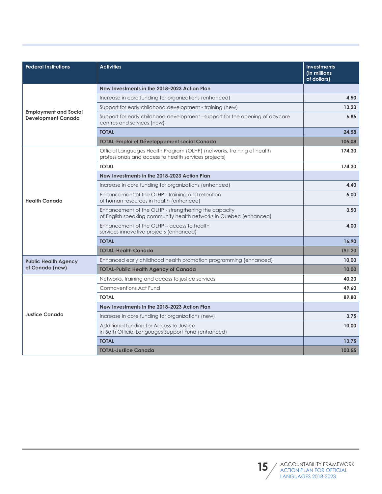| <b>Federal Institutions</b>                               | <b>Activities</b>                                                                                                               | <b>Investments</b><br>(in millions)<br>of dollars) |
|-----------------------------------------------------------|---------------------------------------------------------------------------------------------------------------------------------|----------------------------------------------------|
|                                                           | New Investments in the 2018-2023 Action Plan                                                                                    |                                                    |
|                                                           | Increase in core funding for organizations (enhanced)                                                                           | 4.50                                               |
|                                                           | Support for early childhood development - training (new)                                                                        | 13.23                                              |
| <b>Employment and Social</b><br><b>Development Canada</b> | Support for early childhood development - support for the opening of daycare<br>centres and services (new)                      | 6.85                                               |
|                                                           | <b>TOTAL</b>                                                                                                                    | 24.58                                              |
|                                                           | TOTAL-Emploi et Développement social Canada                                                                                     | 105.08                                             |
|                                                           | Official Languages Health Program (OLHP) (networks, training of health<br>professionals and access to health services projects) | 174.30                                             |
|                                                           | <b>TOTAL</b>                                                                                                                    | 174.30                                             |
|                                                           | New Investments in the 2018-2023 Action Plan                                                                                    |                                                    |
|                                                           | Increase in core funding for organizations (enhanced)                                                                           | 4.40                                               |
| <b>Health Canada</b>                                      | Enhancement of the OLHP - training and retention<br>of human resources in health (enhanced)                                     | 5.00                                               |
|                                                           | Enhancement of the OLHP - strengthening the capacity<br>of English speaking community health networks in Quebec (enhanced)      | 3.50                                               |
|                                                           | Enhancement of the OLHP – access to health<br>services innovative projects (enhanced)                                           | 4.00                                               |
|                                                           | <b>TOTAL</b>                                                                                                                    | 16.90                                              |
|                                                           | <b>TOTAL-Health Canada</b>                                                                                                      | 191.20                                             |
| <b>Public Health Agency</b>                               | Enhanced early childhood health promotion programming (enhanced)                                                                | 10,00                                              |
| of Canada (new)                                           | <b>TOTAL-Public Health Agency of Canada</b>                                                                                     | 10.00                                              |
|                                                           | Networks, training and access to justice services                                                                               | 40.20                                              |
|                                                           | Contraventions Act Fund                                                                                                         | 49.60                                              |
|                                                           | <b>TOTAL</b>                                                                                                                    | 89.80                                              |
|                                                           | New Investments in the 2018-2023 Action Plan                                                                                    |                                                    |
| <b>Justice Canada</b>                                     | Increase in core funding for organizations (new)                                                                                | 3.75                                               |
|                                                           | Additional funding for Access to Justice<br>in Both Official Languages Support Fund (enhanced)                                  | 10.00                                              |
|                                                           | <b>TOTAL</b>                                                                                                                    | 13.75                                              |
|                                                           | <b>TOTAL-Justice Canada</b>                                                                                                     | 103.55                                             |

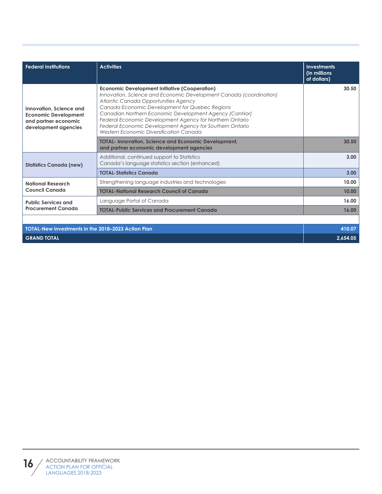| <b>Federal Institutions</b>                                                                            | <b>Activities</b>                                                                                                                                                                                                                                                                                                                                                                                                                                 | <b>Investments</b><br>(in millions<br>of dollars) |
|--------------------------------------------------------------------------------------------------------|---------------------------------------------------------------------------------------------------------------------------------------------------------------------------------------------------------------------------------------------------------------------------------------------------------------------------------------------------------------------------------------------------------------------------------------------------|---------------------------------------------------|
| Innovation, Science and<br><b>Economic Development</b><br>and partner economic<br>development agencies | <b>Economic Development Initiative (Cooperation)</b><br>Innovation, Science and Economic Development Canada (coordination)<br>Atlantic Canada Opportunities Agency<br>Canada Economic Development for Quebec Regions<br>Canadian Northern Economic Development Agency (CanNor)<br>Federal Economic Development Agency for Northern Ontario<br>Federal Economic Development Agency for Southern Ontario<br>Western Economic Diversification Canada | 30.50                                             |
|                                                                                                        | <b>TOTAL-Innovation, Science and Economic Development,</b><br>and partner economic development agencies                                                                                                                                                                                                                                                                                                                                           | 30.50                                             |
| <b>Statistics Canada (new)</b>                                                                         | Additional, continued support to Statistics<br>Canada's language statistics section (enhanced)                                                                                                                                                                                                                                                                                                                                                    | 3.00                                              |
|                                                                                                        | <b>TOTAL-Statistics Canada</b>                                                                                                                                                                                                                                                                                                                                                                                                                    | 3.00                                              |
| <b>National Research</b>                                                                               | Strengthening language industries and technologies                                                                                                                                                                                                                                                                                                                                                                                                | 10.00                                             |
| <b>Council Canada</b>                                                                                  | <b>TOTAL-National Research Council of Canada</b>                                                                                                                                                                                                                                                                                                                                                                                                  | 10.00                                             |
| <b>Public Services and</b>                                                                             | Language Portal of Canada                                                                                                                                                                                                                                                                                                                                                                                                                         | 16.00                                             |
| <b>Procurement Canada</b>                                                                              | <b>TOTAL-Public Services and Procurement Canada</b>                                                                                                                                                                                                                                                                                                                                                                                               | 16.00                                             |
|                                                                                                        |                                                                                                                                                                                                                                                                                                                                                                                                                                                   |                                                   |
| TOTAL-New investments in the 2018-2023 Action Plan<br>410.07                                           |                                                                                                                                                                                                                                                                                                                                                                                                                                                   |                                                   |
| <b>GRAND TOTAL</b>                                                                                     |                                                                                                                                                                                                                                                                                                                                                                                                                                                   | 2,654.05                                          |